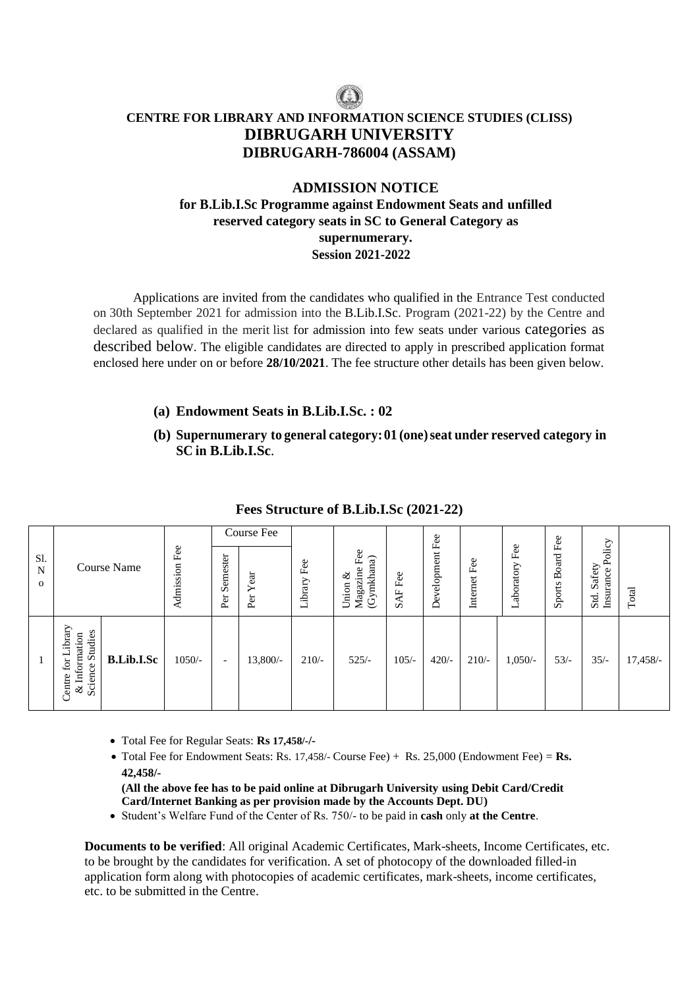# **CENTRE FOR LIBRARY AND INFORMATION SCIENCE STUDIES (CLISS) DIBRUGARH UNIVERSITY DIBRUGARH-786004 (ASSAM)**

## **ADMISSION NOTICE for B.Lib.I.Sc Programme against Endowment Seats and unfilled reserved category seats in SC to General Category as supernumerary. Session 2021-2022**

Applications are invited from the candidates who qualified in the Entrance Test conducted on 30th September 2021 for admission into the B.Lib.I.Sc. Program (2021-22) by the Centre and declared as qualified in the merit list for admission into few seats under various categories as described below. The eligible candidates are directed to apply in prescribed application format enclosed here under on or before **28/10/2021**. The fee structure other details has been given below.

#### **(a) Endowment Seats in B.Lib.I.Sc. : 02**

**(b) Supernumerary to general category:01 (one)seat under reserved category in SC in B.Lib.I.Sc**.

|                          |                                                                                                          |                      | Course Fee               |                      |                    |                                                 |                                         | Fee         |                 |                   | Fee                    |                                                  |            |
|--------------------------|----------------------------------------------------------------------------------------------------------|----------------------|--------------------------|----------------------|--------------------|-------------------------------------------------|-----------------------------------------|-------------|-----------------|-------------------|------------------------|--------------------------------------------------|------------|
| Sl.<br>N<br>$\mathbf{O}$ | <b>Course Name</b>                                                                                       | Fee<br>dmission<br>∢ | Semester<br>Per          | Year<br>$_{\rm Per}$ | Fee<br>ibrary<br>⊣ | Fee<br>(Gymkhana)<br>ine<br>ళ<br>Union<br>Magaz | Fee<br>$\overline{A}$ F<br>$\mathbf{v}$ | Development | Fee<br>Internet | Fee<br>Laboratory | Board<br><b>Sports</b> | Policy<br>Safety<br>Insurance<br>$\cdot$<br>Std. | Total      |
|                          | ibrary<br>& Information<br>Science Studies<br>ᆜ<br><b>B.Lib.I.Sc</b><br>$\operatorname{for}$<br>Centre i | $1050/-$             | $\overline{\phantom{a}}$ | 13,800/-             | $210/-$            | $525/-$                                         | $105/-$                                 | $420/-$     | $210/-$         | $1,050/-$         | $53/-$                 | $35/-$                                           | $17,458/-$ |

#### **Fees Structure of B.Lib.I.Sc (2021-22)**

- Total Fee for Regular Seats: **Rs 17,458/-/-**
- Total Fee for Endowment Seats: Rs. 17,458/- Course Fee) + Rs. 25,000 (Endowment Fee) = **Rs. 42,458/-**

**(All the above fee has to be paid online at Dibrugarh University using Debit Card/Credit Card/Internet Banking as per provision made by the Accounts Dept. DU)**

Student's Welfare Fund of the Center of Rs. 750/- to be paid in **cash** only **at the Centre**.

**Documents to be verified**: All original Academic Certificates, Mark-sheets, Income Certificates, etc. to be brought by the candidates for verification. A set of photocopy of the downloaded filled-in application form along with photocopies of academic certificates, mark-sheets, income certificates, etc. to be submitted in the Centre.